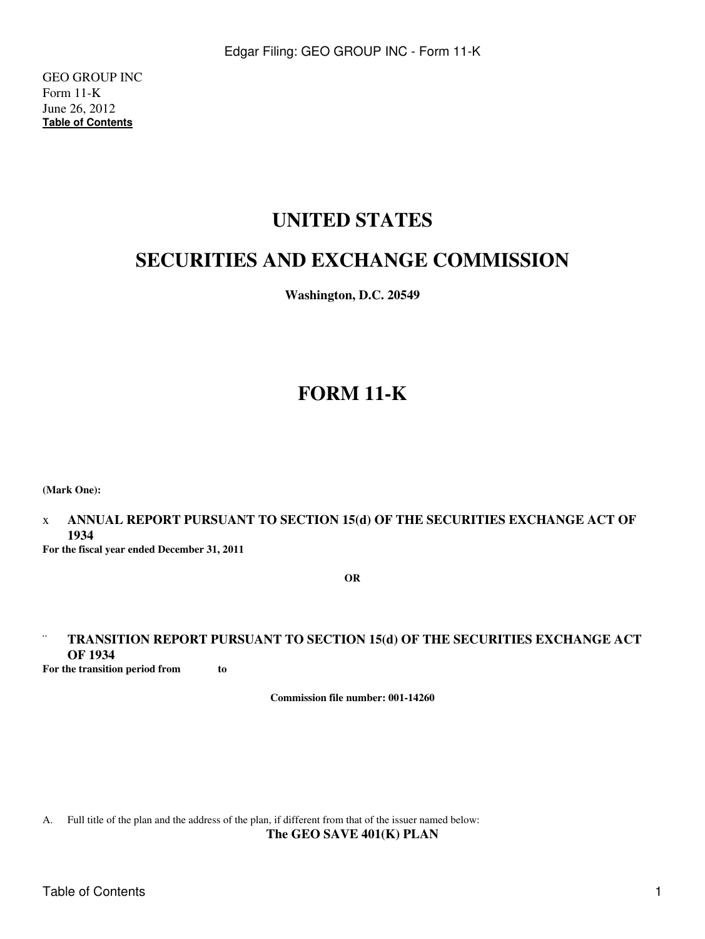GEO GROUP INC Form 11-K June 26, 2012 **[Table of Contents](#page-2-0)**

# **UNITED STATES**

# **SECURITIES AND EXCHANGE COMMISSION**

**Washington, D.C. 20549**

# **FORM 11-K**

**(Mark One):**

x **ANNUAL REPORT PURSUANT TO SECTION 15(d) OF THE SECURITIES EXCHANGE ACT OF 1934**

**For the fiscal year ended December 31, 2011**

**OR**

## ¨ **TRANSITION REPORT PURSUANT TO SECTION 15(d) OF THE SECURITIES EXCHANGE ACT OF 1934**

**For the transition period from to** 

**Commission file number: 001-14260**

A. Full title of the plan and the address of the plan, if different from that of the issuer named below: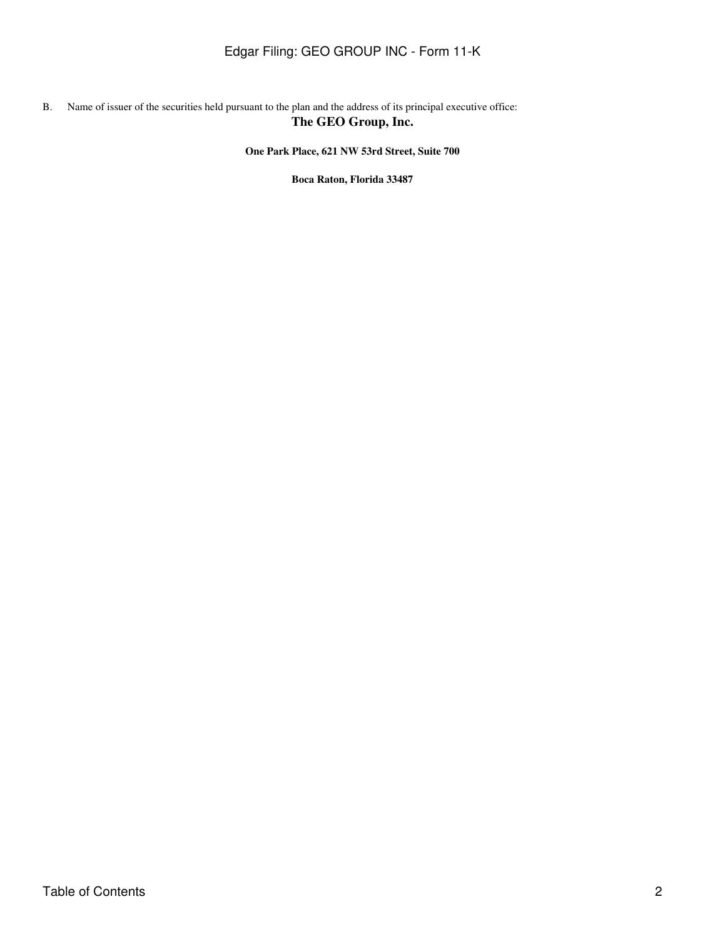### B. Name of issuer of the securities held pursuant to the plan and the address of its principal executive office: **The GEO Group, Inc.**

**One Park Place, 621 NW 53rd Street, Suite 700**

**Boca Raton, Florida 33487**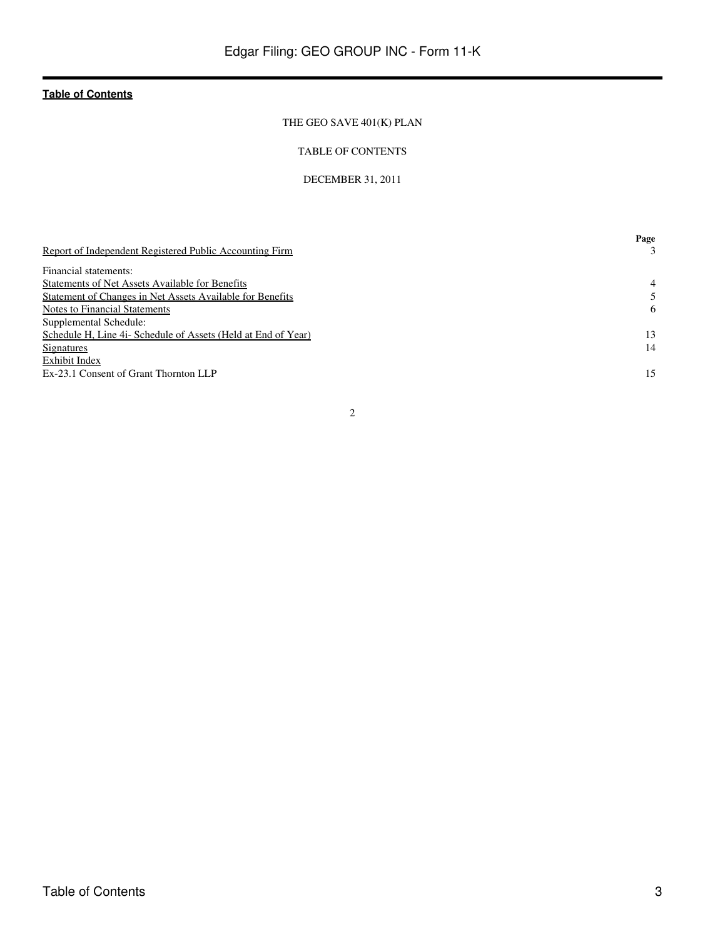### THE GEO SAVE 401(K) PLAN

### TABLE OF CONTENTS

### DECEMBER 31, 2011

<span id="page-2-0"></span>

|                                                               | Page           |
|---------------------------------------------------------------|----------------|
| Report of Independent Registered Public Accounting Firm       |                |
| Financial statements:                                         |                |
| <b>Statements of Net Assets Available for Benefits</b>        | $\overline{4}$ |
| Statement of Changes in Net Assets Available for Benefits     |                |
| Notes to Financial Statements                                 | 6              |
| Supplemental Schedule:                                        |                |
| Schedule H, Line 4i- Schedule of Assets (Held at End of Year) | 13             |
| Signatures                                                    | 14             |
| Exhibit Index                                                 |                |
| Ex-23.1 Consent of Grant Thornton LLP                         | 15             |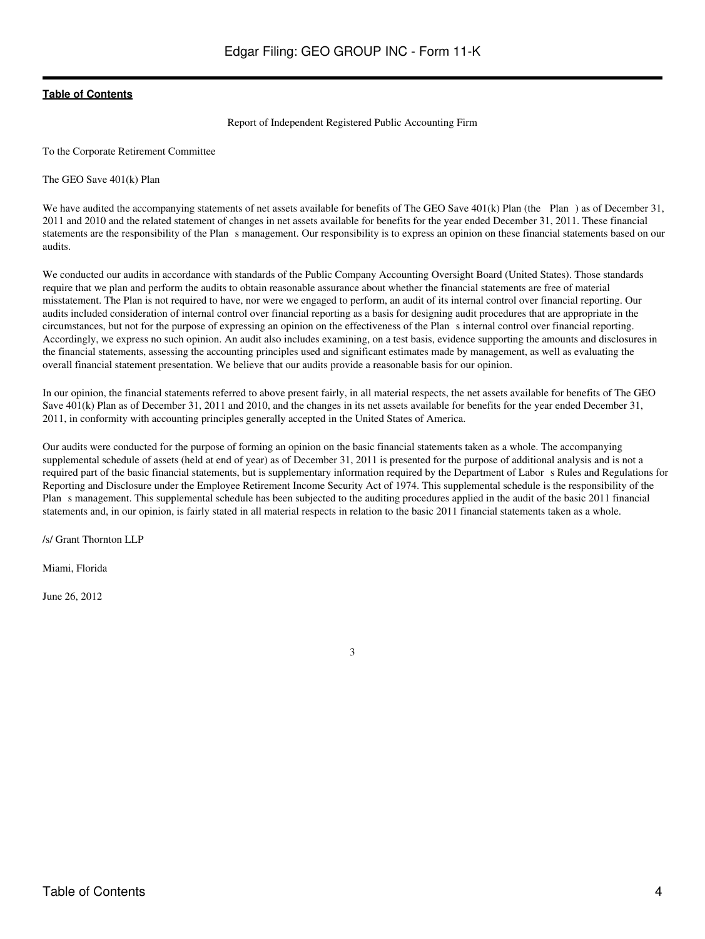### Report of Independent Registered Public Accounting Firm

<span id="page-3-0"></span>To the Corporate Retirement Committee

The GEO Save 401(k) Plan

We have audited the accompanying statements of net assets available for benefits of The GEO Save 401(k) Plan (the Plan) as of December 31, 2011 and 2010 and the related statement of changes in net assets available for benefits for the year ended December 31, 2011. These financial statements are the responsibility of the Plan s management. Our responsibility is to express an opinion on these financial statements based on our audits.

We conducted our audits in accordance with standards of the Public Company Accounting Oversight Board (United States). Those standards require that we plan and perform the audits to obtain reasonable assurance about whether the financial statements are free of material misstatement. The Plan is not required to have, nor were we engaged to perform, an audit of its internal control over financial reporting. Our audits included consideration of internal control over financial reporting as a basis for designing audit procedures that are appropriate in the circumstances, but not for the purpose of expressing an opinion on the effectiveness of the Plans internal control over financial reporting. Accordingly, we express no such opinion. An audit also includes examining, on a test basis, evidence supporting the amounts and disclosures in the financial statements, assessing the accounting principles used and significant estimates made by management, as well as evaluating the overall financial statement presentation. We believe that our audits provide a reasonable basis for our opinion.

In our opinion, the financial statements referred to above present fairly, in all material respects, the net assets available for benefits of The GEO Save 401(k) Plan as of December 31, 2011 and 2010, and the changes in its net assets available for benefits for the year ended December 31, 2011, in conformity with accounting principles generally accepted in the United States of America.

Our audits were conducted for the purpose of forming an opinion on the basic financial statements taken as a whole. The accompanying supplemental schedule of assets (held at end of year) as of December 31, 2011 is presented for the purpose of additional analysis and is not a required part of the basic financial statements, but is supplementary information required by the Department of Labors Rules and Regulations for Reporting and Disclosure under the Employee Retirement Income Security Act of 1974. This supplemental schedule is the responsibility of the Plan s management. This supplemental schedule has been subjected to the auditing procedures applied in the audit of the basic 2011 financial statements and, in our opinion, is fairly stated in all material respects in relation to the basic 2011 financial statements taken as a whole.

/s/ Grant Thornton LLP

Miami, Florida

June 26, 2012

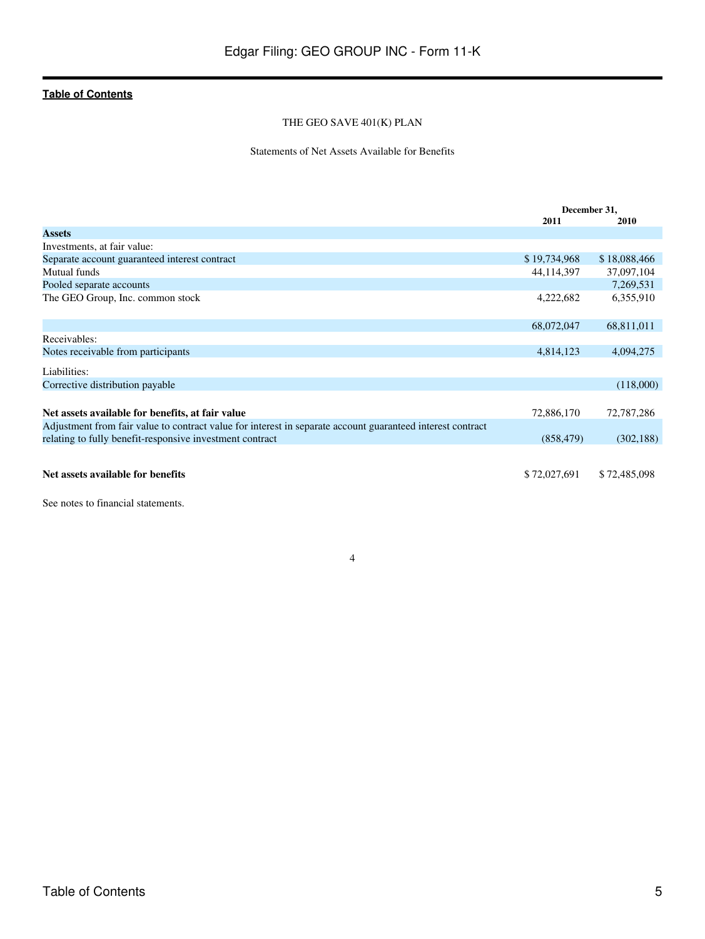### THE GEO SAVE 401(K) PLAN

### Statements of Net Assets Available for Benefits

<span id="page-4-0"></span>

|                                                                                                            | December 31, |              |
|------------------------------------------------------------------------------------------------------------|--------------|--------------|
|                                                                                                            | 2011         | 2010         |
| <b>Assets</b>                                                                                              |              |              |
| Investments, at fair value:                                                                                |              |              |
| Separate account guaranteed interest contract                                                              | \$19,734,968 | \$18,088,466 |
| Mutual funds                                                                                               | 44,114,397   | 37,097,104   |
| Pooled separate accounts                                                                                   |              | 7,269,531    |
| The GEO Group, Inc. common stock                                                                           | 4,222,682    | 6,355,910    |
|                                                                                                            | 68,072,047   | 68,811,011   |
| Receivables:                                                                                               |              |              |
| Notes receivable from participants                                                                         | 4,814,123    | 4,094,275    |
| Liabilities:                                                                                               |              |              |
| Corrective distribution payable                                                                            |              | (118,000)    |
|                                                                                                            |              |              |
| Net assets available for benefits, at fair value                                                           | 72,886,170   | 72,787,286   |
| Adjustment from fair value to contract value for interest in separate account guaranteed interest contract |              |              |
| relating to fully benefit-responsive investment contract                                                   | (858, 479)   | (302, 188)   |
| Net assets available for benefits                                                                          | \$72,027,691 | \$72,485,098 |

See notes to financial statements.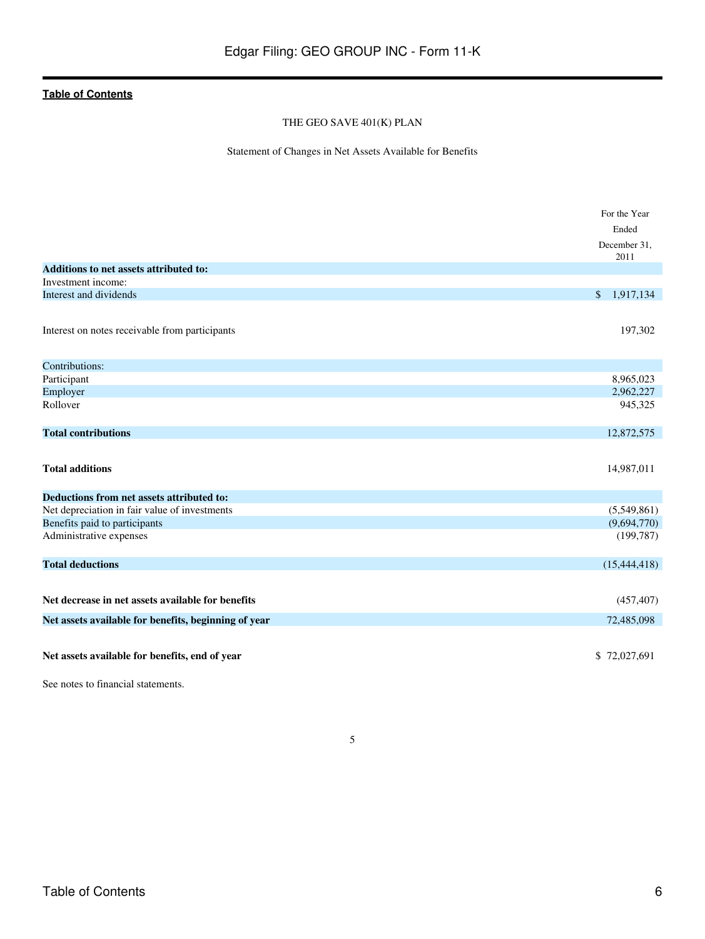### THE GEO SAVE 401(K) PLAN

Statement of Changes in Net Assets Available for Benefits

<span id="page-5-0"></span>

|                                                      | For the Year         |
|------------------------------------------------------|----------------------|
|                                                      | Ended                |
|                                                      | December 31,<br>2011 |
| <b>Additions to net assets attributed to:</b>        |                      |
| Investment income:                                   |                      |
| Interest and dividends                               | 1,917,134<br>\$      |
| Interest on notes receivable from participants       | 197,302              |
| Contributions:                                       |                      |
| Participant                                          | 8,965,023            |
| Employer                                             | 2,962,227            |
| Rollover                                             | 945,325              |
| <b>Total contributions</b>                           | 12,872,575           |
| <b>Total additions</b>                               | 14,987,011           |
| Deductions from net assets attributed to:            |                      |
| Net depreciation in fair value of investments        | (5,549,861)          |
| Benefits paid to participants                        | (9,694,770)          |
| Administrative expenses                              | (199, 787)           |
| <b>Total deductions</b>                              | (15, 444, 418)       |
| Net decrease in net assets available for benefits    | (457, 407)           |
| Net assets available for benefits, beginning of year | 72,485,098           |
| Net assets available for benefits, end of year       | \$72,027,691         |
| See notes to financial statements.                   |                      |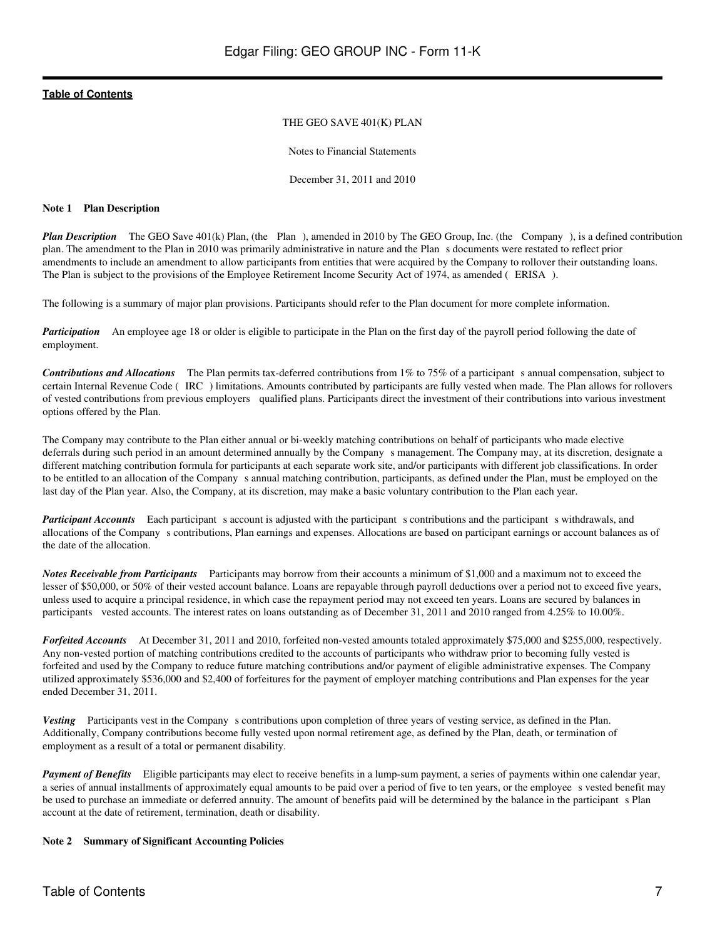### THE GEO SAVE 401(K) PLAN

Notes to Financial Statements

December 31, 2011 and 2010

### <span id="page-6-0"></span>**Note 1 Plan Description**

*Plan Description* The GEO Save 401(k) Plan, (the Plan), amended in 2010 by The GEO Group, Inc. (the Company), is a defined contribution plan. The amendment to the Plan in 2010 was primarily administrative in nature and the Plans documents were restated to reflect prior amendments to include an amendment to allow participants from entities that were acquired by the Company to rollover their outstanding loans. The Plan is subject to the provisions of the Employee Retirement Income Security Act of 1974, as amended (ERISA).

The following is a summary of major plan provisions. Participants should refer to the Plan document for more complete information.

*Participation* An employee age 18 or older is eligible to participate in the Plan on the first day of the payroll period following the date of employment.

*Contributions and Allocations* The Plan permits tax-deferred contributions from 1% to 75% of a participant s annual compensation, subject to certain Internal Revenue Code (IRC) limitations. Amounts contributed by participants are fully vested when made. The Plan allows for rollovers of vested contributions from previous employers qualified plans. Participants direct the investment of their contributions into various investment options offered by the Plan.

The Company may contribute to the Plan either annual or bi-weekly matching contributions on behalf of participants who made elective deferrals during such period in an amount determined annually by the Company s management. The Company may, at its discretion, designate a different matching contribution formula for participants at each separate work site, and/or participants with different job classifications. In order to be entitled to an allocation of the Companys annual matching contribution, participants, as defined under the Plan, must be employed on the last day of the Plan year. Also, the Company, at its discretion, may make a basic voluntary contribution to the Plan each year.

*Participant Accounts* Each participant s account is adjusted with the participant s contributions and the participant s withdrawals, and allocations of the Companys contributions, Plan earnings and expenses. Allocations are based on participant earnings or account balances as of the date of the allocation.

*Notes Receivable from Participants* Participants may borrow from their accounts a minimum of \$1,000 and a maximum not to exceed the lesser of \$50,000, or 50% of their vested account balance. Loans are repayable through payroll deductions over a period not to exceed five years, unless used to acquire a principal residence, in which case the repayment period may not exceed ten years. Loans are secured by balances in participants vested accounts. The interest rates on loans outstanding as of December 31, 2011 and 2010 ranged from 4.25% to 10.00%.

*Forfeited Accounts*  At December 31, 2011 and 2010, forfeited non-vested amounts totaled approximately \$75,000 and \$255,000, respectively. Any non-vested portion of matching contributions credited to the accounts of participants who withdraw prior to becoming fully vested is forfeited and used by the Company to reduce future matching contributions and/or payment of eligible administrative expenses. The Company utilized approximately \$536,000 and \$2,400 of forfeitures for the payment of employer matching contributions and Plan expenses for the year ended December 31, 2011.

*Vesting* Participants vest in the Company s contributions upon completion of three years of vesting service, as defined in the Plan. Additionally, Company contributions become fully vested upon normal retirement age, as defined by the Plan, death, or termination of employment as a result of a total or permanent disability.

*Payment of Benefits* Eligible participants may elect to receive benefits in a lump-sum payment, a series of payments within one calendar year, a series of annual installments of approximately equal amounts to be paid over a period of five to ten years, or the employee s vested benefit may be used to purchase an immediate or deferred annuity. The amount of benefits paid will be determined by the balance in the participant s Plan account at the date of retirement, termination, death or disability.

### **Note 2 Summary of Significant Accounting Policies**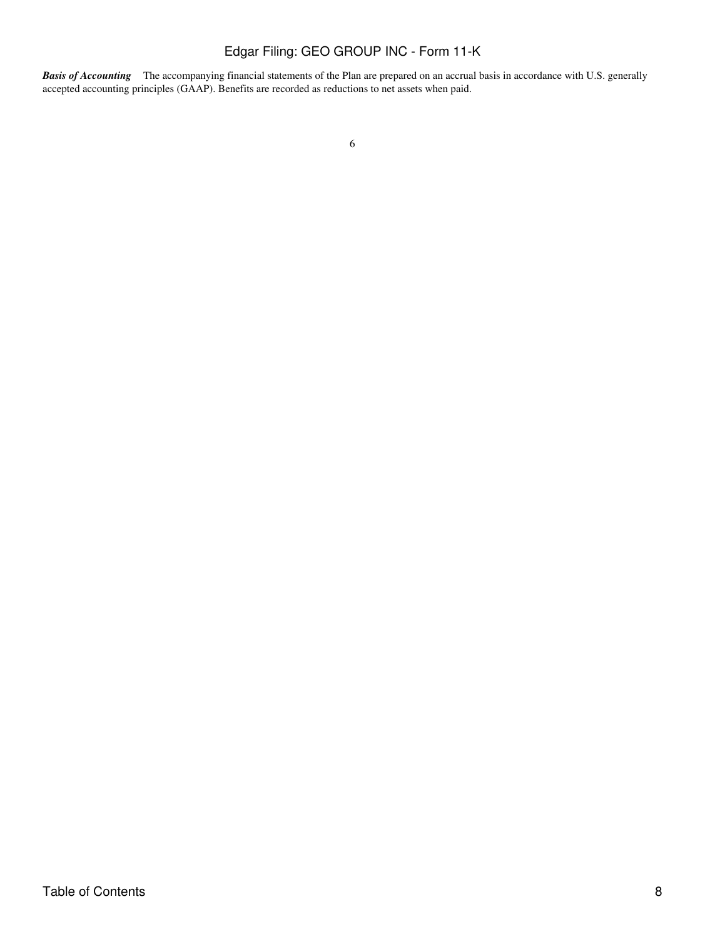*Basis of Accounting* The accompanying financial statements of the Plan are prepared on an accrual basis in accordance with U.S. generally accepted accounting principles (GAAP). Benefits are recorded as reductions to net assets when paid.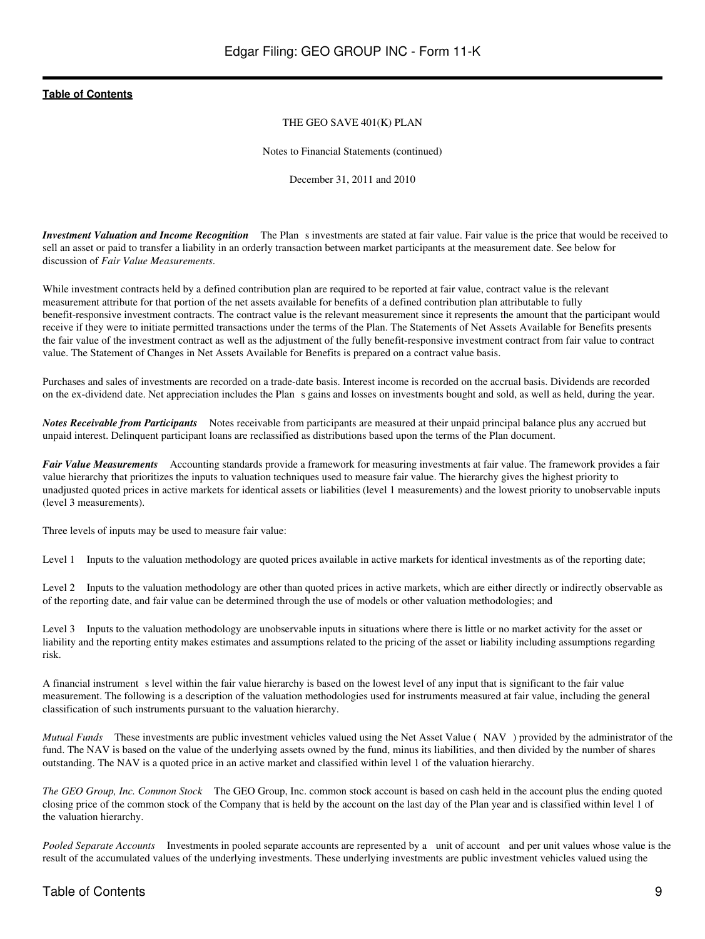### THE GEO SAVE 401(K) PLAN

Notes to Financial Statements (continued)

December 31, 2011 and 2010

*Investment Valuation and Income Recognition* The Plan s investments are stated at fair value. Fair value is the price that would be received to sell an asset or paid to transfer a liability in an orderly transaction between market participants at the measurement date. See below for discussion of *Fair Value Measurements*.

While investment contracts held by a defined contribution plan are required to be reported at fair value, contract value is the relevant measurement attribute for that portion of the net assets available for benefits of a defined contribution plan attributable to fully benefit-responsive investment contracts. The contract value is the relevant measurement since it represents the amount that the participant would receive if they were to initiate permitted transactions under the terms of the Plan. The Statements of Net Assets Available for Benefits presents the fair value of the investment contract as well as the adjustment of the fully benefit-responsive investment contract from fair value to contract value. The Statement of Changes in Net Assets Available for Benefits is prepared on a contract value basis.

Purchases and sales of investments are recorded on a trade-date basis. Interest income is recorded on the accrual basis. Dividends are recorded on the ex-dividend date. Net appreciation includes the Plans gains and losses on investments bought and sold, as well as held, during the year.

*Notes Receivable from Participants*  Notes receivable from participants are measured at their unpaid principal balance plus any accrued but unpaid interest. Delinquent participant loans are reclassified as distributions based upon the terms of the Plan document.

*Fair Value Measurements*  Accounting standards provide a framework for measuring investments at fair value. The framework provides a fair value hierarchy that prioritizes the inputs to valuation techniques used to measure fair value. The hierarchy gives the highest priority to unadjusted quoted prices in active markets for identical assets or liabilities (level 1 measurements) and the lowest priority to unobservable inputs (level 3 measurements).

Three levels of inputs may be used to measure fair value:

Level 1 Inputs to the valuation methodology are quoted prices available in active markets for identical investments as of the reporting date;

Level 2 Inputs to the valuation methodology are other than quoted prices in active markets, which are either directly or indirectly observable as of the reporting date, and fair value can be determined through the use of models or other valuation methodologies; and

Level 3 Inputs to the valuation methodology are unobservable inputs in situations where there is little or no market activity for the asset or liability and the reporting entity makes estimates and assumptions related to the pricing of the asset or liability including assumptions regarding risk.

A financial instrument s level within the fair value hierarchy is based on the lowest level of any input that is significant to the fair value measurement. The following is a description of the valuation methodologies used for instruments measured at fair value, including the general classification of such instruments pursuant to the valuation hierarchy.

*Mutual Funds* These investments are public investment vehicles valued using the Net Asset Value (NAV) provided by the administrator of the fund. The NAV is based on the value of the underlying assets owned by the fund, minus its liabilities, and then divided by the number of shares outstanding. The NAV is a quoted price in an active market and classified within level 1 of the valuation hierarchy.

*The GEO Group, Inc. Common Stock* The GEO Group, Inc. common stock account is based on cash held in the account plus the ending quoted closing price of the common stock of the Company that is held by the account on the last day of the Plan year and is classified within level 1 of the valuation hierarchy.

*Pooled Separate Accounts* Investments in pooled separate accounts are represented by a unit of account and per unit values whose value is the result of the accumulated values of the underlying investments. These underlying investments are public investment vehicles valued using the

### Table of Contents 9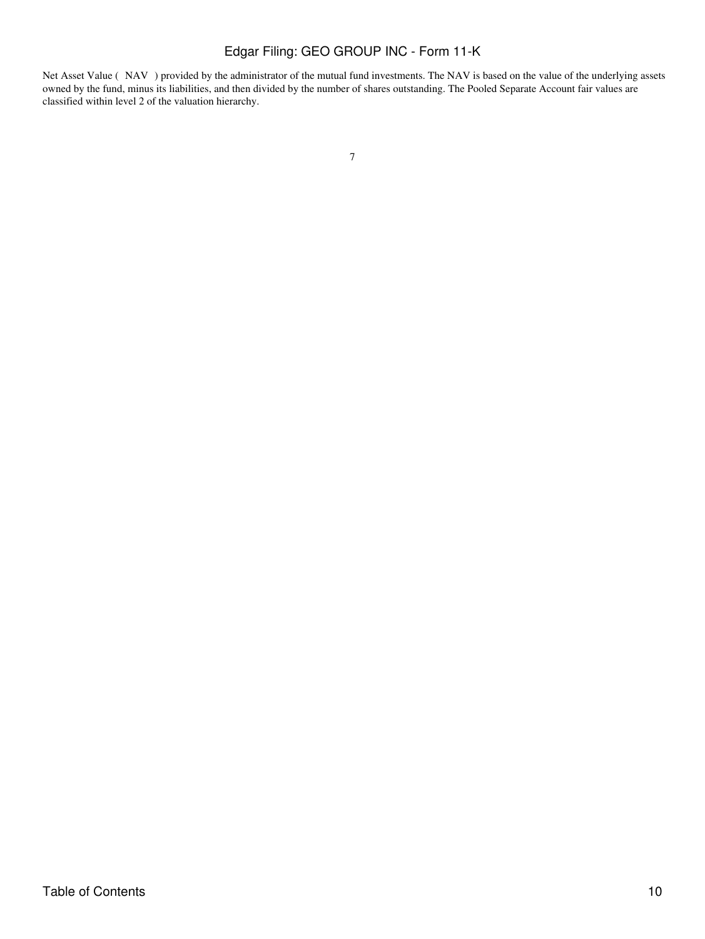Net Asset Value (NAV) provided by the administrator of the mutual fund investments. The NAV is based on the value of the underlying assets owned by the fund, minus its liabilities, and then divided by the number of shares outstanding. The Pooled Separate Account fair values are classified within level 2 of the valuation hierarchy.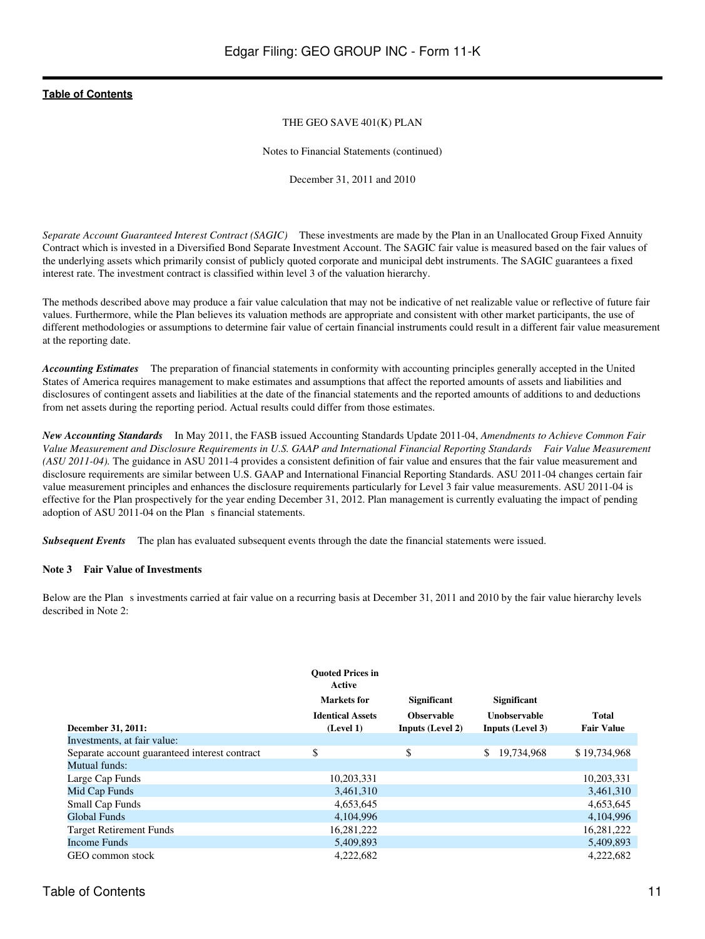### THE GEO SAVE 401(K) PLAN

Notes to Financial Statements (continued)

December 31, 2011 and 2010

*Separate Account Guaranteed Interest Contract (SAGIC)* These investments are made by the Plan in an Unallocated Group Fixed Annuity Contract which is invested in a Diversified Bond Separate Investment Account. The SAGIC fair value is measured based on the fair values of the underlying assets which primarily consist of publicly quoted corporate and municipal debt instruments. The SAGIC guarantees a fixed interest rate. The investment contract is classified within level 3 of the valuation hierarchy.

The methods described above may produce a fair value calculation that may not be indicative of net realizable value or reflective of future fair values. Furthermore, while the Plan believes its valuation methods are appropriate and consistent with other market participants, the use of different methodologies or assumptions to determine fair value of certain financial instruments could result in a different fair value measurement at the reporting date.

*Accounting Estimates*  The preparation of financial statements in conformity with accounting principles generally accepted in the United States of America requires management to make estimates and assumptions that affect the reported amounts of assets and liabilities and disclosures of contingent assets and liabilities at the date of the financial statements and the reported amounts of additions to and deductions from net assets during the reporting period. Actual results could differ from those estimates.

*New Accounting Standards*  In May 2011, the FASB issued Accounting Standards Update 2011-04, *Amendments to Achieve Common Fair Value Measurement and Disclosure Requirements in U.S. GAAP and International Financial Reporting Standards Fair Value Measurement (ASU 2011-04).* The guidance in ASU 2011-4 provides a consistent definition of fair value and ensures that the fair value measurement and disclosure requirements are similar between U.S. GAAP and International Financial Reporting Standards. ASU 2011-04 changes certain fair value measurement principles and enhances the disclosure requirements particularly for Level 3 fair value measurements. ASU 2011-04 is effective for the Plan prospectively for the year ending December 31, 2012. Plan management is currently evaluating the impact of pending adoption of ASU 2011-04 on the Plan s financial statements.

*Subsequent Events*  The plan has evaluated subsequent events through the date the financial statements were issued.

### **Note 3 Fair Value of Investments**

Below are the Plan s investments carried at fair value on a recurring basis at December 31, 2011 and 2010 by the fair value hierarchy levels described in Note 2:

|                                               | <b>Ouoted Prices in</b><br>Active<br>Markets for<br><b>Identical Assets</b> | <b>Significant</b><br><b>Observable</b> | <b>Significant</b><br>Unobservable | Total             |
|-----------------------------------------------|-----------------------------------------------------------------------------|-----------------------------------------|------------------------------------|-------------------|
| December 31, 2011:                            | (Level 1)                                                                   | <b>Inputs (Level 2)</b>                 | Inputs (Level 3)                   | <b>Fair Value</b> |
| Investments, at fair value:                   |                                                                             |                                         |                                    |                   |
| Separate account guaranteed interest contract | \$                                                                          | \$                                      | 19,734,968<br>\$.                  | \$19,734,968      |
| Mutual funds:                                 |                                                                             |                                         |                                    |                   |
| Large Cap Funds                               | 10,203,331                                                                  |                                         |                                    | 10,203,331        |
| Mid Cap Funds                                 | 3,461,310                                                                   |                                         |                                    | 3,461,310         |
| <b>Small Cap Funds</b>                        | 4,653,645                                                                   |                                         |                                    | 4,653,645         |
| Global Funds                                  | 4,104,996                                                                   |                                         |                                    | 4.104.996         |
| <b>Target Retirement Funds</b>                | 16,281,222                                                                  |                                         |                                    | 16,281,222        |
| <b>Income Funds</b>                           | 5,409,893                                                                   |                                         |                                    | 5,409,893         |
| GEO common stock                              | 4,222,682                                                                   |                                         |                                    | 4,222,682         |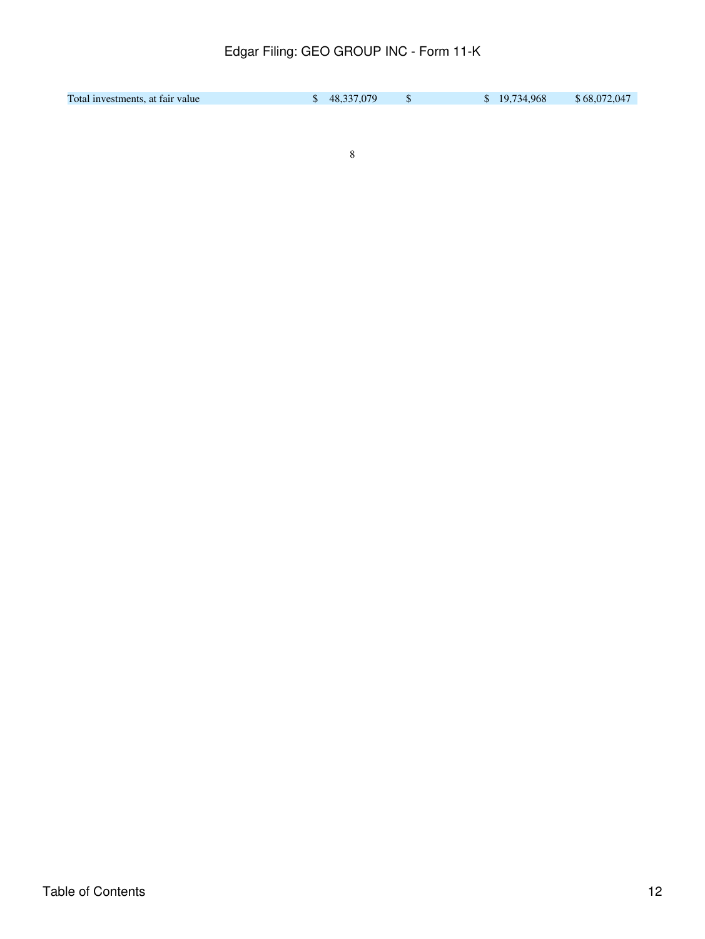| Total investments, at fair value | \$48,337,079 | \$19,734,968 | \$68,072,047 |
|----------------------------------|--------------|--------------|--------------|
|                                  |              |              |              |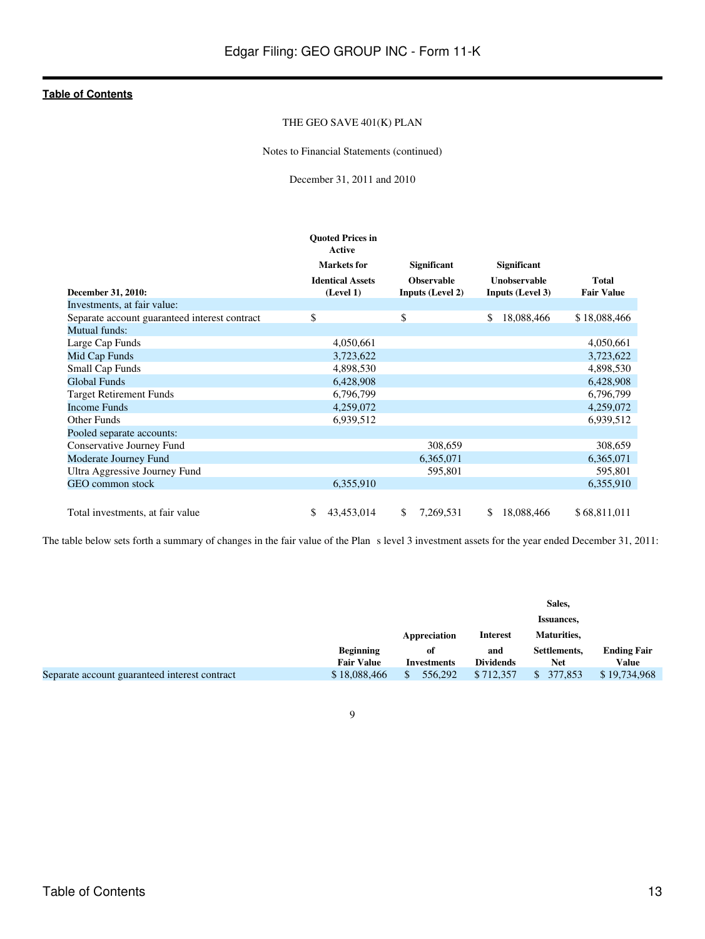### THE GEO SAVE 401(K) PLAN

Notes to Financial Statements (continued)

December 31, 2011 and 2010

|                                               | <b>Ouoted Prices in</b><br>Active    |                                              |                                                |                            |
|-----------------------------------------------|--------------------------------------|----------------------------------------------|------------------------------------------------|----------------------------|
|                                               | <b>Markets</b> for                   | <b>Significant</b>                           | <b>Significant</b>                             |                            |
| December 31, 2010:                            | <b>Identical Assets</b><br>(Level 1) | <b>Observable</b><br><b>Inputs (Level 2)</b> | <b>Unobservable</b><br><b>Inputs (Level 3)</b> | Total<br><b>Fair Value</b> |
| Investments, at fair value:                   |                                      |                                              |                                                |                            |
| Separate account guaranteed interest contract | \$                                   | \$                                           | \$<br>18,088,466                               | \$18,088,466               |
| Mutual funds:                                 |                                      |                                              |                                                |                            |
| Large Cap Funds                               | 4,050,661                            |                                              |                                                | 4,050,661                  |
| Mid Cap Funds                                 | 3,723,622                            |                                              |                                                | 3,723,622                  |
| <b>Small Cap Funds</b>                        | 4,898,530                            |                                              |                                                | 4,898,530                  |
| <b>Global Funds</b>                           | 6,428,908                            |                                              |                                                | 6,428,908                  |
| <b>Target Retirement Funds</b>                | 6,796,799                            |                                              |                                                | 6,796,799                  |
| <b>Income Funds</b>                           | 4,259,072                            |                                              |                                                | 4,259,072                  |
| <b>Other Funds</b>                            | 6,939,512                            |                                              |                                                | 6,939,512                  |
| Pooled separate accounts:                     |                                      |                                              |                                                |                            |
| Conservative Journey Fund                     |                                      | 308,659                                      |                                                | 308,659                    |
| Moderate Journey Fund                         |                                      | 6,365,071                                    |                                                | 6,365,071                  |
| Ultra Aggressive Journey Fund                 |                                      | 595,801                                      |                                                | 595,801                    |
| GEO common stock                              | 6,355,910                            |                                              |                                                | 6,355,910                  |
|                                               |                                      |                                              |                                                |                            |
| Total investments, at fair value              | \$<br>43,453,014                     | \$<br>7,269,531                              | \$<br>18,088,466                               | \$68,811,011               |

The table below sets forth a summary of changes in the fair value of the Plan s level 3 investment assets for the year ended December 31, 2011:

|                                               |                   |                    | Sales,           |              |                    |
|-----------------------------------------------|-------------------|--------------------|------------------|--------------|--------------------|
|                                               |                   |                    |                  | Issuances,   |                    |
|                                               |                   | Appreciation       | <b>Interest</b>  | Maturities,  |                    |
|                                               | <b>Beginning</b>  | оf                 | and              | Settlements, | <b>Ending Fair</b> |
|                                               | <b>Fair Value</b> | <b>Investments</b> | <b>Dividends</b> | Net          | Value              |
| Separate account guaranteed interest contract | \$18,088,466      | 556,292            | \$712,357        | 377,853      | \$19,734,968       |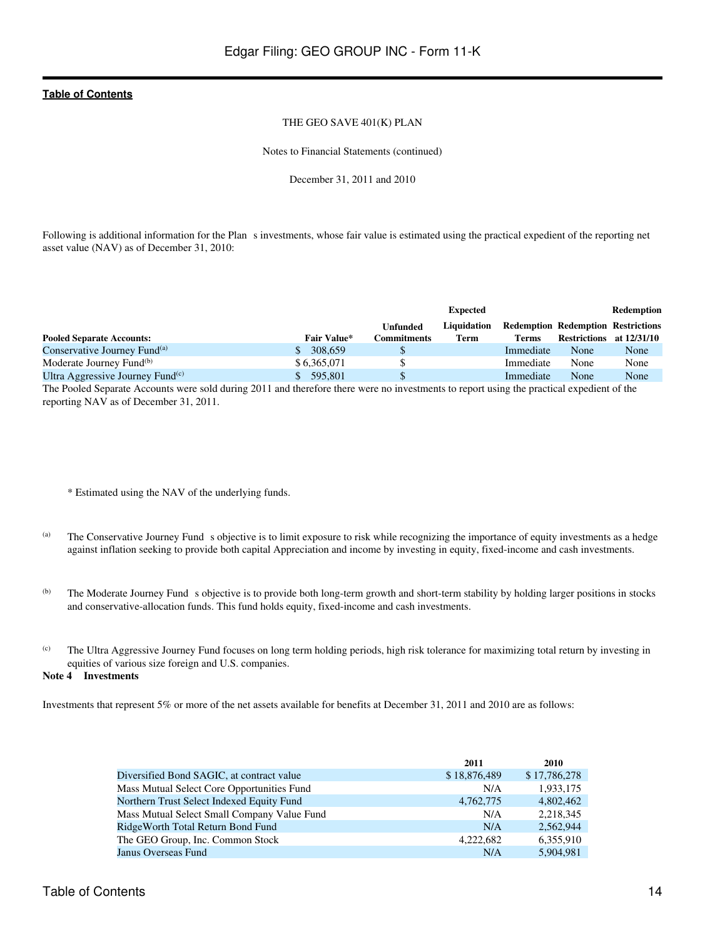### THE GEO SAVE 401(K) PLAN

Notes to Financial Statements (continued)

December 31, 2011 and 2010

Following is additional information for the Plan s investments, whose fair value is estimated using the practical expedient of the reporting net asset value (NAV) as of December 31, 2010:

|                                              |                    |                     | <b>Expected</b> |              |                                           | <b>Redemption</b> |
|----------------------------------------------|--------------------|---------------------|-----------------|--------------|-------------------------------------------|-------------------|
|                                              |                    | Unfunded            | Liquidation     |              | <b>Redemption Redemption Restrictions</b> |                   |
| <b>Pooled Separate Accounts:</b>             | <b>Fair Value*</b> | C <b>ommitments</b> | Term            | <b>Terms</b> | Restrictions at 12/31/10                  |                   |
| Conservative Journey Fund <sup>(a)</sup>     | 308,659            |                     |                 | Immediate    | None                                      | None              |
| Moderate Journey Fund <sup>(b)</sup>         | \$6.365,071        |                     |                 | Immediate    | None                                      | None              |
| Ultra Aggressive Journey Fund <sup>(c)</sup> | \$595.801          |                     |                 | Immediate    | None                                      | None              |
|                                              |                    |                     |                 |              |                                           |                   |

The Pooled Separate Accounts were sold during 2011 and therefore there were no investments to report using the practical expedient of the reporting NAV as of December 31, 2011.

\* Estimated using the NAV of the underlying funds.

- (a) The Conservative Journey Fund s objective is to limit exposure to risk while recognizing the importance of equity investments as a hedge against inflation seeking to provide both capital Appreciation and income by investing in equity, fixed-income and cash investments.
- (b) The Moderate Journey Fund s objective is to provide both long-term growth and short-term stability by holding larger positions in stocks and conservative-allocation funds. This fund holds equity, fixed-income and cash investments.
- (c) The Ultra Aggressive Journey Fund focuses on long term holding periods, high risk tolerance for maximizing total return by investing in equities of various size foreign and U.S. companies.

### **Note 4 Investments**

Investments that represent 5% or more of the net assets available for benefits at December 31, 2011 and 2010 are as follows:

|                                             | 2011         | 2010         |
|---------------------------------------------|--------------|--------------|
| Diversified Bond SAGIC, at contract value   | \$18,876,489 | \$17,786,278 |
| Mass Mutual Select Core Opportunities Fund  | N/A          | 1,933,175    |
| Northern Trust Select Indexed Equity Fund   | 4,762,775    | 4,802,462    |
| Mass Mutual Select Small Company Value Fund | N/A          | 2,218,345    |
| RidgeWorth Total Return Bond Fund           | N/A          | 2.562.944    |
| The GEO Group, Inc. Common Stock            | 4.222.682    | 6,355,910    |
| Janus Overseas Fund                         | N/A          | 5,904,981    |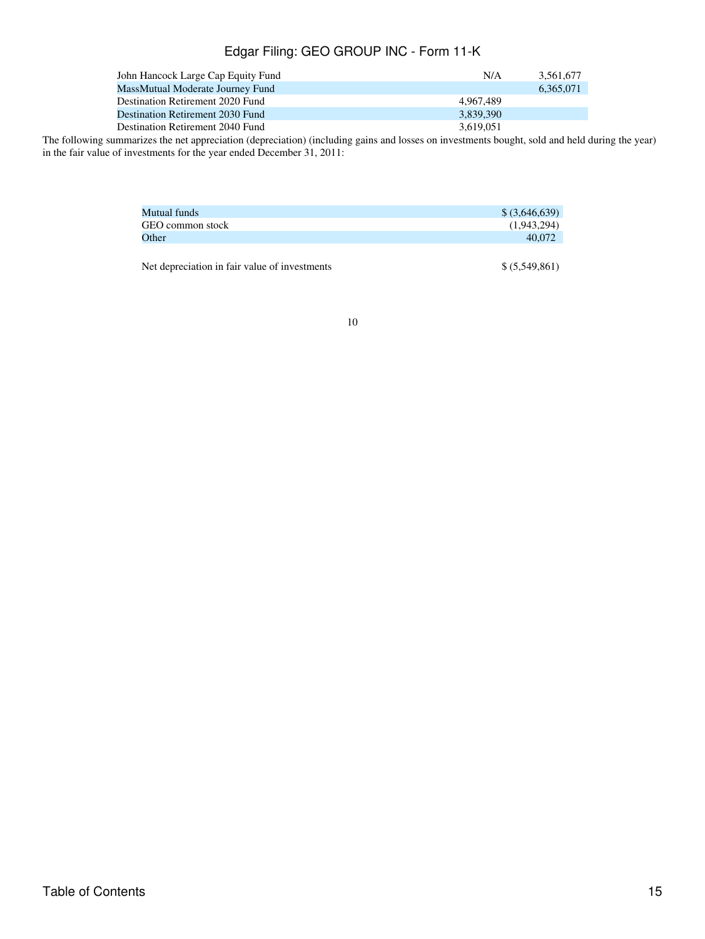| John Hancock Large Cap Equity Fund | N/A       | 3.561.677 |
|------------------------------------|-----------|-----------|
| MassMutual Moderate Journey Fund   |           | 6.365.071 |
| Destination Retirement 2020 Fund   | 4.967.489 |           |
| Destination Retirement 2030 Fund   | 3.839.390 |           |
| Destination Retirement 2040 Fund   | 3.619.051 |           |

The following summarizes the net appreciation (depreciation) (including gains and losses on investments bought, sold and held during the year) in the fair value of investments for the year ended December 31, 2011:

| Mutual funds                                  | $$$ (3,646,639) |
|-----------------------------------------------|-----------------|
| GEO common stock                              | (1,943,294)     |
| Other                                         | 40,072          |
|                                               |                 |
| Net depreciation in fair value of investments | \$ (5,549,861)  |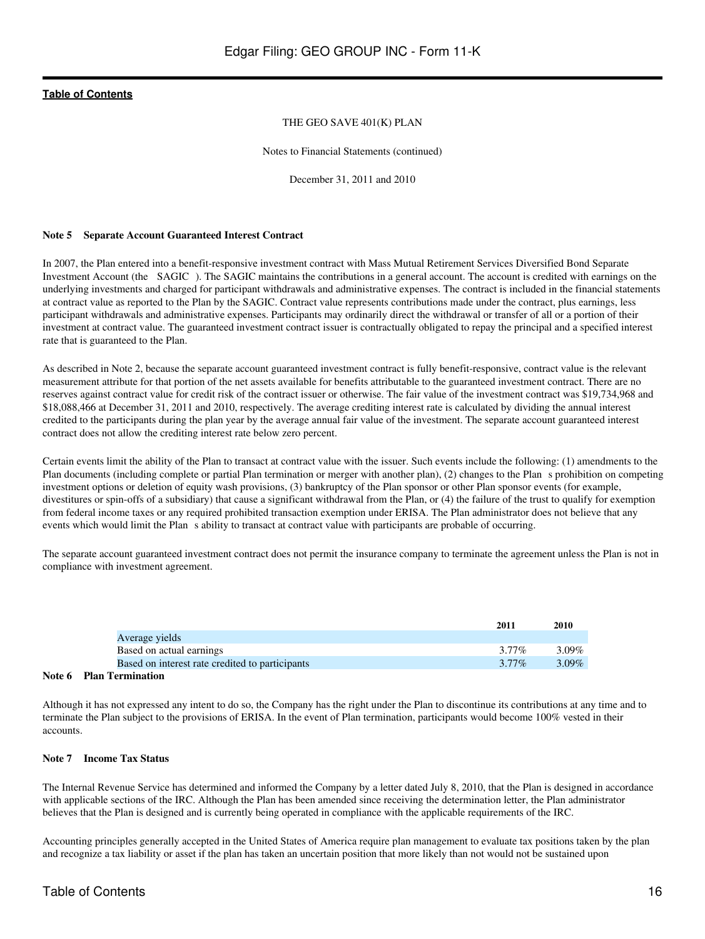### THE GEO SAVE 401(K) PLAN

Notes to Financial Statements (continued)

December 31, 2011 and 2010

### **Note 5 Separate Account Guaranteed Interest Contract**

In 2007, the Plan entered into a benefit-responsive investment contract with Mass Mutual Retirement Services Diversified Bond Separate Investment Account (the SAGIC). The SAGIC maintains the contributions in a general account. The account is credited with earnings on the underlying investments and charged for participant withdrawals and administrative expenses. The contract is included in the financial statements at contract value as reported to the Plan by the SAGIC. Contract value represents contributions made under the contract, plus earnings, less participant withdrawals and administrative expenses. Participants may ordinarily direct the withdrawal or transfer of all or a portion of their investment at contract value. The guaranteed investment contract issuer is contractually obligated to repay the principal and a specified interest rate that is guaranteed to the Plan.

As described in Note 2, because the separate account guaranteed investment contract is fully benefit-responsive, contract value is the relevant measurement attribute for that portion of the net assets available for benefits attributable to the guaranteed investment contract. There are no reserves against contract value for credit risk of the contract issuer or otherwise. The fair value of the investment contract was \$19,734,968 and \$18,088,466 at December 31, 2011 and 2010, respectively. The average crediting interest rate is calculated by dividing the annual interest credited to the participants during the plan year by the average annual fair value of the investment. The separate account guaranteed interest contract does not allow the crediting interest rate below zero percent.

Certain events limit the ability of the Plan to transact at contract value with the issuer. Such events include the following: (1) amendments to the Plan documents (including complete or partial Plan termination or merger with another plan), (2) changes to the Plan s prohibition on competing investment options or deletion of equity wash provisions, (3) bankruptcy of the Plan sponsor or other Plan sponsor events (for example, divestitures or spin-offs of a subsidiary) that cause a significant withdrawal from the Plan, or (4) the failure of the trust to qualify for exemption from federal income taxes or any required prohibited transaction exemption under ERISA. The Plan administrator does not believe that any events which would limit the Plan s ability to transact at contract value with participants are probable of occurring.

The separate account guaranteed investment contract does not permit the insurance company to terminate the agreement unless the Plan is not in compliance with investment agreement.

|                                                 | 2011     | 2010     |
|-------------------------------------------------|----------|----------|
| Average yields                                  |          |          |
| Based on actual earnings                        | 3.77%    | 3.09%    |
| Based on interest rate credited to participants | $3.77\%$ | $3.09\%$ |

#### **Note 6 Plan Termination**

Although it has not expressed any intent to do so, the Company has the right under the Plan to discontinue its contributions at any time and to terminate the Plan subject to the provisions of ERISA. In the event of Plan termination, participants would become 100% vested in their accounts.

### **Note 7 Income Tax Status**

The Internal Revenue Service has determined and informed the Company by a letter dated July 8, 2010, that the Plan is designed in accordance with applicable sections of the IRC. Although the Plan has been amended since receiving the determination letter, the Plan administrator believes that the Plan is designed and is currently being operated in compliance with the applicable requirements of the IRC.

Accounting principles generally accepted in the United States of America require plan management to evaluate tax positions taken by the plan and recognize a tax liability or asset if the plan has taken an uncertain position that more likely than not would not be sustained upon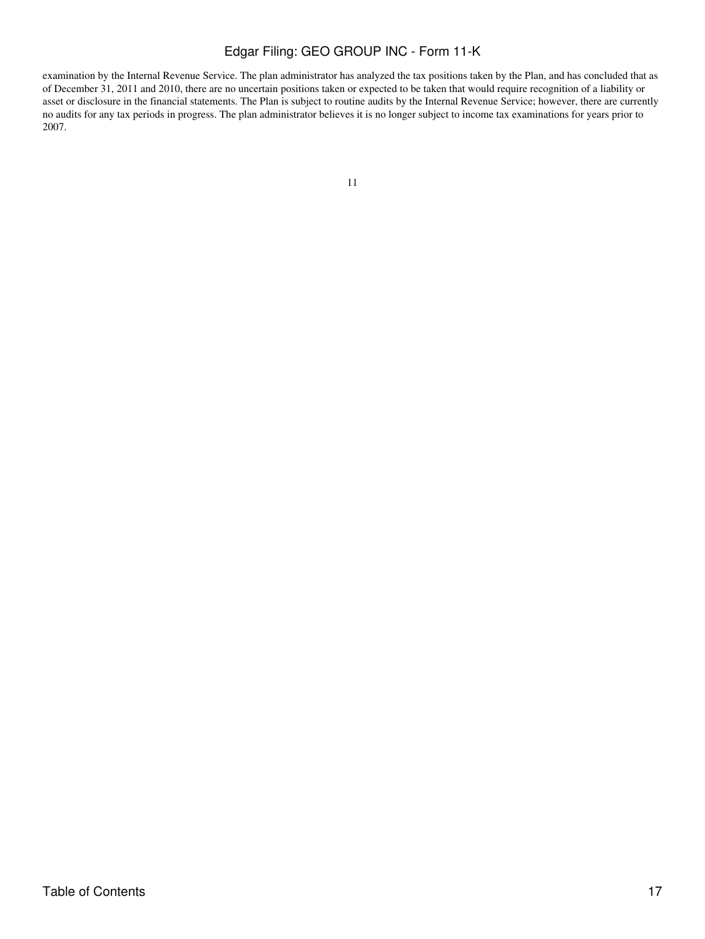examination by the Internal Revenue Service. The plan administrator has analyzed the tax positions taken by the Plan, and has concluded that as of December 31, 2011 and 2010, there are no uncertain positions taken or expected to be taken that would require recognition of a liability or asset or disclosure in the financial statements. The Plan is subject to routine audits by the Internal Revenue Service; however, there are currently no audits for any tax periods in progress. The plan administrator believes it is no longer subject to income tax examinations for years prior to 2007.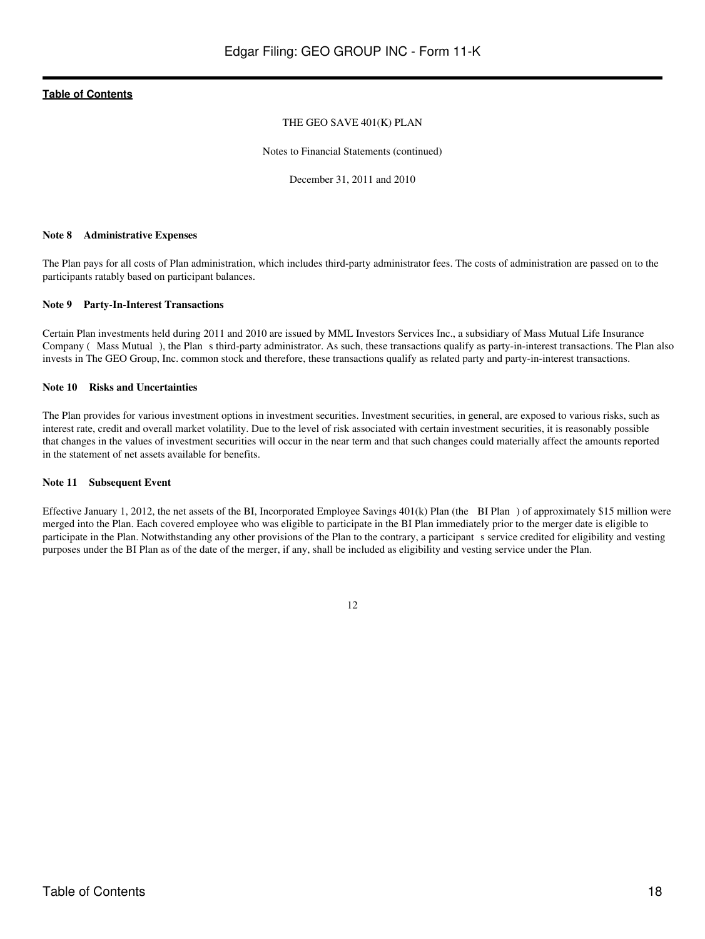### THE GEO SAVE 401(K) PLAN

Notes to Financial Statements (continued)

December 31, 2011 and 2010

### **Note 8 Administrative Expenses**

The Plan pays for all costs of Plan administration, which includes third-party administrator fees. The costs of administration are passed on to the participants ratably based on participant balances.

### **Note 9 Party-In-Interest Transactions**

Certain Plan investments held during 2011 and 2010 are issued by MML Investors Services Inc., a subsidiary of Mass Mutual Life Insurance Company ( Mass Mutual), the Plan s third-party administrator. As such, these transactions qualify as party-in-interest transactions. The Plan also invests in The GEO Group, Inc. common stock and therefore, these transactions qualify as related party and party-in-interest transactions.

### **Note 10 Risks and Uncertainties**

The Plan provides for various investment options in investment securities. Investment securities, in general, are exposed to various risks, such as interest rate, credit and overall market volatility. Due to the level of risk associated with certain investment securities, it is reasonably possible that changes in the values of investment securities will occur in the near term and that such changes could materially affect the amounts reported in the statement of net assets available for benefits.

### **Note 11 Subsequent Event**

Effective January 1, 2012, the net assets of the BI, Incorporated Employee Savings 401(k) Plan (the BI Plan) of approximately \$15 million were merged into the Plan. Each covered employee who was eligible to participate in the BI Plan immediately prior to the merger date is eligible to participate in the Plan. Notwithstanding any other provisions of the Plan to the contrary, a participant s service credited for eligibility and vesting purposes under the BI Plan as of the date of the merger, if any, shall be included as eligibility and vesting service under the Plan.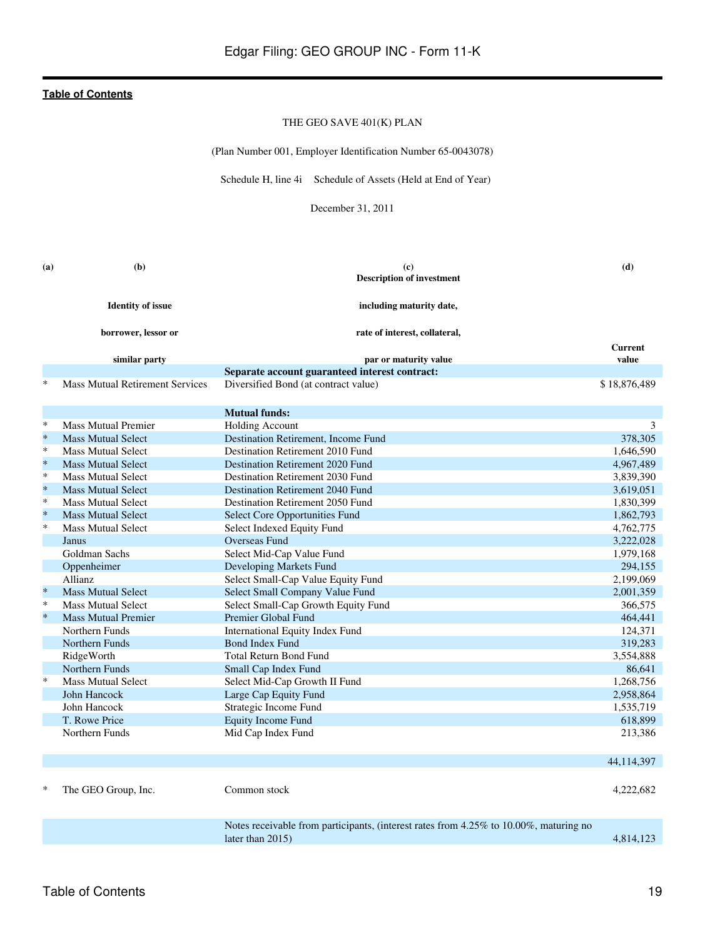### THE GEO SAVE 401(K) PLAN

(Plan Number 001, Employer Identification Number 65-0043078)

Schedule H, line 4i Schedule of Assets (Held at End of Year)

December 31, 2011

<span id="page-18-0"></span>

| (a)     | (b)                                    | (c)                                                                                   | (d)                     |
|---------|----------------------------------------|---------------------------------------------------------------------------------------|-------------------------|
|         |                                        | <b>Description of investment</b>                                                      |                         |
|         | <b>Identity of issue</b>               | including maturity date,                                                              |                         |
|         | borrower, lessor or                    | rate of interest, collateral,                                                         |                         |
|         | similar party                          | par or maturity value                                                                 | <b>Current</b><br>value |
|         |                                        | Separate account guaranteed interest contract:                                        |                         |
| *       | <b>Mass Mutual Retirement Services</b> | Diversified Bond (at contract value)                                                  | \$18,876,489            |
|         |                                        |                                                                                       |                         |
|         |                                        | <b>Mutual funds:</b>                                                                  |                         |
| $\ast$  | <b>Mass Mutual Premier</b>             | <b>Holding Account</b>                                                                | 3                       |
| $\ast$  | <b>Mass Mutual Select</b>              | Destination Retirement, Income Fund                                                   | 378,305                 |
| $\ast$  | <b>Mass Mutual Select</b>              | Destination Retirement 2010 Fund                                                      | 1,646,590               |
| $\ast$  | <b>Mass Mutual Select</b>              | Destination Retirement 2020 Fund                                                      | 4,967,489               |
| ∗       | <b>Mass Mutual Select</b>              | Destination Retirement 2030 Fund                                                      | 3,839,390               |
| $\ast$  | <b>Mass Mutual Select</b>              | <b>Destination Retirement 2040 Fund</b>                                               | 3,619,051               |
| $\ast$  | <b>Mass Mutual Select</b>              | Destination Retirement 2050 Fund                                                      | 1,830,399               |
| $\ast$  | <b>Mass Mutual Select</b>              | <b>Select Core Opportunities Fund</b>                                                 | 1,862,793               |
| $\ast$  | <b>Mass Mutual Select</b>              | Select Indexed Equity Fund                                                            | 4,762,775               |
|         | Janus                                  | <b>Overseas Fund</b>                                                                  | 3,222,028               |
|         | Goldman Sachs                          | Select Mid-Cap Value Fund                                                             | 1,979,168               |
|         | Oppenheimer                            | Developing Markets Fund                                                               | 294,155                 |
|         | Allianz                                | Select Small-Cap Value Equity Fund                                                    | 2,199,069               |
| $\star$ | <b>Mass Mutual Select</b>              | Select Small Company Value Fund                                                       | 2,001,359               |
| $\ast$  | <b>Mass Mutual Select</b>              | Select Small-Cap Growth Equity Fund                                                   | 366,575                 |
| $\ast$  | <b>Mass Mutual Premier</b>             | Premier Global Fund                                                                   | 464,441                 |
|         | Northern Funds                         | International Equity Index Fund                                                       | 124,371                 |
|         | Northern Funds                         | <b>Bond Index Fund</b>                                                                | 319,283                 |
|         | RidgeWorth                             | <b>Total Return Bond Fund</b>                                                         | 3,554,888               |
|         | Northern Funds                         | Small Cap Index Fund                                                                  | 86,641                  |
| $\ast$  | <b>Mass Mutual Select</b>              | Select Mid-Cap Growth II Fund                                                         | 1,268,756               |
|         | John Hancock                           | Large Cap Equity Fund                                                                 | 2,958,864               |
|         | John Hancock                           | Strategic Income Fund                                                                 | 1,535,719               |
|         | T. Rowe Price                          | <b>Equity Income Fund</b>                                                             | 618,899                 |
|         | Northern Funds                         | Mid Cap Index Fund                                                                    | 213,386                 |
|         |                                        |                                                                                       |                         |
|         |                                        |                                                                                       | 44, 114, 397            |
|         | The GEO Group, Inc.                    | Common stock                                                                          | 4,222,682               |
|         |                                        |                                                                                       |                         |
|         |                                        | Notes receivable from participants, (interest rates from 4.25% to 10.00%, maturing no |                         |
|         |                                        | later than 2015)                                                                      | 4.814.123               |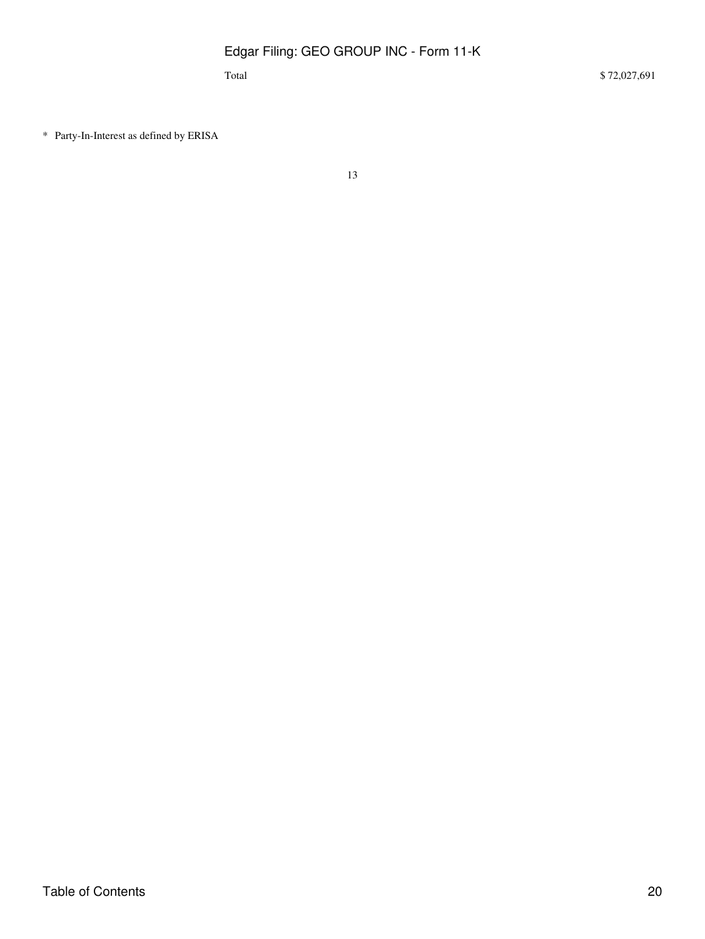\* Party-In-Interest as defined by ERISA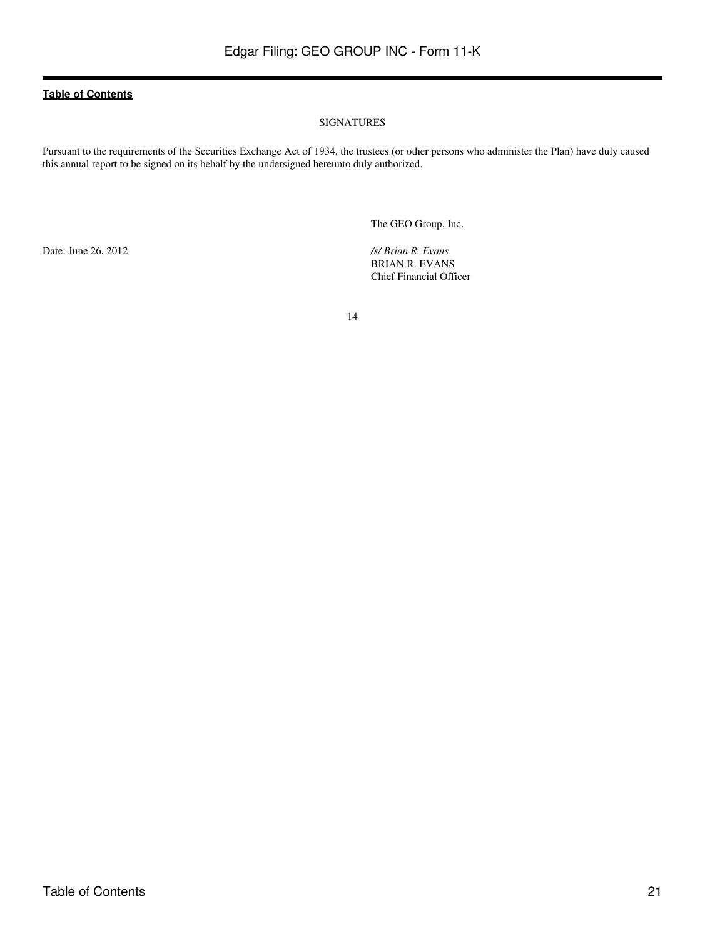### SIGNATURES

<span id="page-20-0"></span>Pursuant to the requirements of the Securities Exchange Act of 1934, the trustees (or other persons who administer the Plan) have duly caused this annual report to be signed on its behalf by the undersigned hereunto duly authorized.

The GEO Group, Inc.

Date: June 26, 2012 */s/ Brian R. Evans*

BRIAN R. EVANS Chief Financial Officer